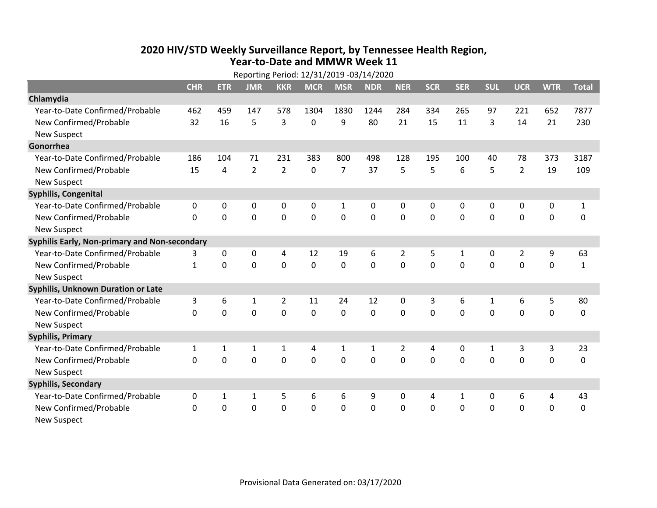## **2020 HIV /STD Weekly Surveillance Report, by Tennessee Health Region, Year‐to‐Date and MMWR Week 11** Reporting Period: 12/31/2019 ‐03/14/2020

| Reporting Period: 12/31/2019 -03/14/2020      |              |              |                |                |              |                |                |                |            |              |                |                |             |              |
|-----------------------------------------------|--------------|--------------|----------------|----------------|--------------|----------------|----------------|----------------|------------|--------------|----------------|----------------|-------------|--------------|
|                                               | <b>CHR</b>   | <b>ETR</b>   | <b>JMR</b>     | <b>KKR</b>     | <b>MCR</b>   | <b>MSR</b>     | <b>NDR</b>     | <b>NER</b>     | <b>SCR</b> | <b>SER</b>   | <b>SUL</b>     | <b>UCR</b>     | <b>WTR</b>  | <b>Total</b> |
| Chlamydia                                     |              |              |                |                |              |                |                |                |            |              |                |                |             |              |
| Year-to-Date Confirmed/Probable               | 462          | 459          | 147            | 578            | 1304         | 1830           | 1244           | 284            | 334        | 265          | 97             | 221            | 652         | 7877         |
| New Confirmed/Probable                        | 32           | 16           | 5              | 3              | 0            | 9              | 80             | 21             | 15         | 11           | 3              | 14             | 21          | 230          |
| <b>New Suspect</b>                            |              |              |                |                |              |                |                |                |            |              |                |                |             |              |
| Gonorrhea                                     |              |              |                |                |              |                |                |                |            |              |                |                |             |              |
| Year-to-Date Confirmed/Probable               | 186          | 104          | 71             | 231            | 383          | 800            | 498            | 128            | 195        | 100          | 40             | 78             | 373         | 3187         |
| New Confirmed/Probable                        | 15           | 4            | $\overline{2}$ | $\overline{2}$ | 0            | $\overline{7}$ | 37             | 5              | 5          | 6            | 5              | $\overline{2}$ | 19          | 109          |
| <b>New Suspect</b>                            |              |              |                |                |              |                |                |                |            |              |                |                |             |              |
| <b>Syphilis, Congenital</b>                   |              |              |                |                |              |                |                |                |            |              |                |                |             |              |
| Year-to-Date Confirmed/Probable               | 0            | 0            | 0              | 0              | 0            | $\mathbf{1}$   | 0              | 0              | 0          | 0            | 0              | 0              | 0           | $\mathbf{1}$ |
| New Confirmed/Probable                        | $\mathbf{0}$ | 0            | 0              | $\mathbf 0$    | $\mathbf 0$  | $\mathbf 0$    | 0              | $\mathbf 0$    | 0          | $\mathbf 0$  | $\mathbf 0$    | $\mathbf 0$    | $\mathbf 0$ | 0            |
| <b>New Suspect</b>                            |              |              |                |                |              |                |                |                |            |              |                |                |             |              |
| Syphilis Early, Non-primary and Non-secondary |              |              |                |                |              |                |                |                |            |              |                |                |             |              |
| Year-to-Date Confirmed/Probable               | 3            | $\mathbf{0}$ | $\Omega$       | 4              | 12           | 19             | 6              | $\overline{2}$ | 5          | $\mathbf{1}$ | $\mathbf{0}$   | $\overline{2}$ | 9           | 63           |
| New Confirmed/Probable                        | $\mathbf{1}$ | $\Omega$     | $\Omega$       | $\Omega$       | $\mathbf{0}$ | $\mathbf{0}$   | $\Omega$       | $\Omega$       | $\Omega$   | $\Omega$     | $\Omega$       | $\mathbf 0$    | $\mathbf 0$ | $\mathbf{1}$ |
| <b>New Suspect</b>                            |              |              |                |                |              |                |                |                |            |              |                |                |             |              |
| Syphilis, Unknown Duration or Late            |              |              |                |                |              |                |                |                |            |              |                |                |             |              |
| Year-to-Date Confirmed/Probable               | 3            | 6            | 1              | $\overline{2}$ | 11           | 24             | 12             | $\Omega$       | 3          | 6            | 1              | 6              | 5           | 80           |
| New Confirmed/Probable                        | $\Omega$     | $\Omega$     | $\Omega$       | $\Omega$       | $\Omega$     | $\Omega$       | $\Omega$       | $\Omega$       | $\Omega$   | $\Omega$     | $\Omega$       | $\Omega$       | $\mathbf 0$ | 0            |
| <b>New Suspect</b>                            |              |              |                |                |              |                |                |                |            |              |                |                |             |              |
| <b>Syphilis, Primary</b>                      |              |              |                |                |              |                |                |                |            |              |                |                |             |              |
| Year-to-Date Confirmed/Probable               | 1            | 1            | 1              | 1              | 4            | $\mathbf{1}$   | 1              | 2              | 4          | 0            | 1              | 3              | 3           | 23           |
| New Confirmed/Probable                        | $\mathbf 0$  | $\mathbf 0$  | 0              | 0              | $\mathbf 0$  | $\mathbf 0$    | 0              | $\Omega$       | $\Omega$   | $\Omega$     | $\overline{0}$ | $\mathbf 0$    | 0           | 0            |
| <b>New Suspect</b>                            |              |              |                |                |              |                |                |                |            |              |                |                |             |              |
| <b>Syphilis, Secondary</b>                    |              |              |                |                |              |                |                |                |            |              |                |                |             |              |
| Year-to-Date Confirmed/Probable               | 0            | $\mathbf{1}$ | 1              | 5              | 6            | 6              | 9              | $\mathbf{0}$   | 4          | 1            | $\mathbf{0}$   | 6              | 4           | 43           |
| New Confirmed/Probable                        | $\Omega$     | 0            | 0              | $\mathbf 0$    | 0            | $\mathbf 0$    | $\overline{0}$ | $\Omega$       | $\Omega$   | $\mathbf 0$  | $\mathbf 0$    | $\mathbf 0$    | $\mathbf 0$ | $\mathbf 0$  |
| <b>New Suspect</b>                            |              |              |                |                |              |                |                |                |            |              |                |                |             |              |